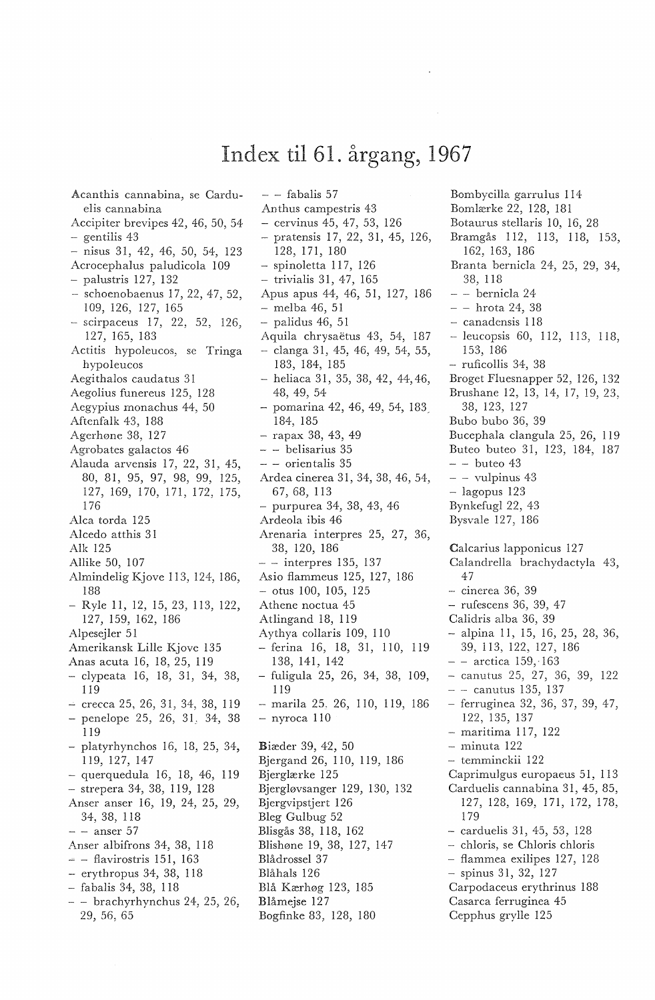## Index til 61. årgang, 1967

 $-$  - fabalis 57

Acanthis cannabina, se Carduelis cannabina Accipiter brevipes 42, 46, 50, 54  $-$  gentilis 43  $-$  nisus 31, 42, 46, 50, 54, 123 Acrocephalus paludicola 109  $-$  palustris 127, 132 - schoenobaenus 17, 22, 47, 52, 109, 126, 127, 165 - scirpaceus 17, 22, 52, 126, 127, 165, 183 Actitis hypoleucos, se Tringa hypoleucos Aegithalos caudatus 31 Aegolius funereus 125, 128 Aegypius monachus 44, 50 Aftenfalk 43, 188 Agerhøne 38, 127 Agrobates galactos 46 Alauda arvensis 17, 22, 31, 45. 80, 81, 95, 97, 98, 99, 125, 127, 169, 170, 171, 172, 175, 176 Alca torda 125 Alcedo atthis 31 Alk 125 Allike 50, 107 Almindelig Kjove 113, 124, 186, 188 - Ryle 11, 12, 15, 23, 113, 122, 127, 159, 162, 186 Alpeseiler 51 Amerikansk Lille Kjove 135 Anas acuta 16, 18, 25, 119 - clypeata 16, 18, 31, 34, 38, 119  $-$  crecca 25, 26, 31, 34, 38, 119  $-$  penelope 25, 26, 31, 34, 38 119 platyrhynchos 16, 18, 25, 34, 119, 127, 147  $-$  querquedula 16, 18, 46, 119 - strepera 34, 38, 119, 128 Anser anser 16, 19, 24, 25, 29, 34, 38, 118  $-$  - anser 57 Anser albifrons 34, 38, 118  $=$  - flavirostris 151, 163  $-$  erythropus 34, 38, 118 - fabalis 34, 38, 118  $-$  - brachyrhynchus 24, 25, 26, 29, 56, 65

Anthus campestris 43  $-$  cervinus 45, 47, 53, 126 - pratensis 17, 22, 31, 45, 126, 128, 171, 180  $-$  spinoletta 117, 126  $-$  trivialis 31, 47, 165 Apus apus 44, 46, 51, 127, 186  $-$  melba 46, 51  $-$  palidus 46, 51 Aquila chrysaëtus 43, 54, 187  $-$  clanga 31, 45, 46, 49, 54, 55, 183, 184, 185 - heliaca 31, 35, 38, 42, 44, 46, 48, 49, 54  $-$  pomarina 42, 46, 49, 54, 183 184, 185  $-$  rapax 38, 43, 49  $-$  - belisarius 35  $-$  - orientalis 35 Ardea cinerea 31, 34, 38, 46, 54, 67, 68, 113 purpurea 34, 38, 43, 46 Ardeola ibis 46 Arenaria interpres 25, 27, 36, 38, 120, 186  $-$  - interpres 135, 137 Asio flammeus 125, 127, 186  $-$  otus 100, 105, 125 Athene noctua 45 Atlingand 18, 119 Aythya collaris 109, 110 - ferina 16, 18, 31, 110, 119 138, 141, 142 - fuligula 25, 26, 34, 38, 109, 119  $-$  marila 25, 26, 110, 119, 186  $-$  nyroca  $110$ Biæder 39, 42, 50 Biergand 26, 110, 119, 186 Bjerglærke 125 Bjergløvsanger 129, 130, 132 Bjergvipstjert 126 Bleg Gulbug 52 Blisgås 38, 118, 162 Blishøne 19, 38, 127, 147 Blådrossel 37 Blåhals 126 Blå Kærhøg 123, 185 Blåmejse 127 Bogfinke 83, 128, 180

Bombycilla garrulus 114 Bomlærke 22, 128, 181 Botaurus stellaris 10, 16, 28 Bramgås 112, 113, 118, 153. 162, 163, 186 Branta bernicla 24, 25, 29, 34, 38, 118 - - bernicla 24  $- -$  hrota 24, 38 - canadensis 118  $-$  leucopsis 60, 112, 113, 118, 153.186 - ruficollis 34, 38 Broget Fluesnapper 52, 126, 132 Brushane 12, 13, 14, 17, 19, 23, 38, 123, 127 Bubo bubo 36, 39 Bucephala clangula 25, 26, 119 Buteo buteo 31, 123, 184, 187  $-$  - buteo 43  $-$  - vulpinus 43  $-$  lagopus 123 Bynkefugl 22, 43 Bysvale 127, 186 Calcarius lapponicus 127 Calandrella brachydactyla 43, 47 - cinerea 36, 39 - rufescens 36, 39, 47 Calidris alba 36, 39  $-$  alpina 11, 15, 16, 25, 28, 36, 39, 113, 122, 127, 186  $-$  - arctica 159. 163  $-$  canutus 25, 27, 36, 39, 122  $-$  - canutus 135, 137 - ferruginea 32, 36, 37, 39, 47, 122, 135, 137 - maritima 117, 122 - minuta 122 - temminckii 122 Caprimulgus europaeus 51, 113 Carduelis cannabina 31, 45, 85, 127, 128, 169, 171, 172, 178, 179 - carduelis 31, 45, 53, 128 - chloris, se Chloris chloris - flammea exilipes 127, 128 - spinus 31, 32, 127 Carpodaceus erythrinus 188 Casarca ferruginea 45 Cepphus grylle 125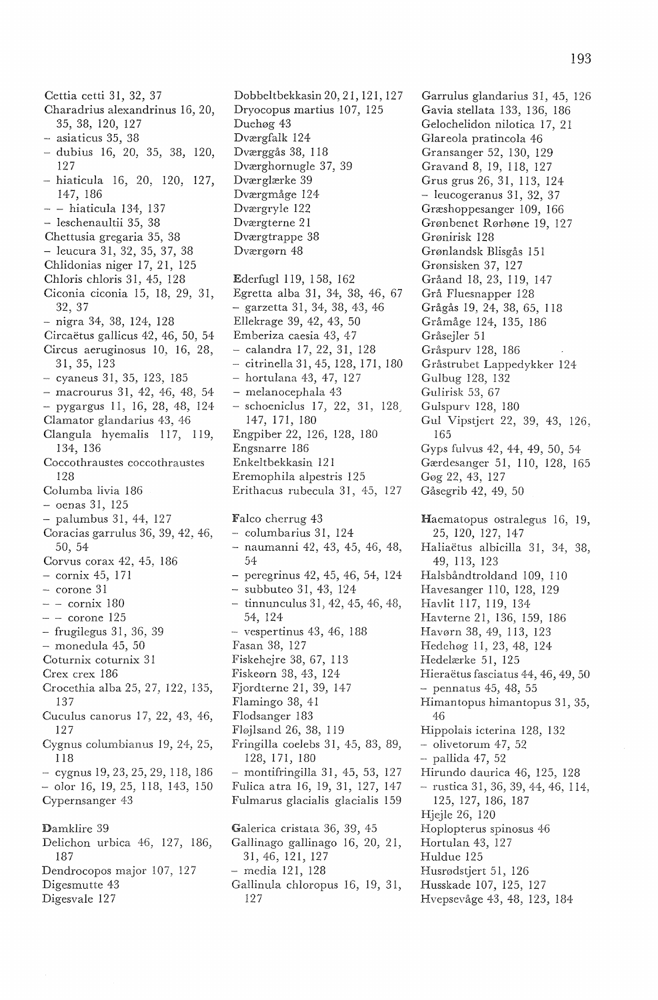Cettia cetti 31, 32, 37 Charadrius alexandrinus 16, 20, 35, 38, 120, 127 - asiaticus 35, 38 - dubius 16, 20, 35, 38, 120, 127 - hiaticula 16, 20, 120, 127, 147, 186 - hiaticula 134, 137 - leschenaultii 35, 38 Chettusia gregaria 35, 38 - leucura 31, 32, 35, 37, 38 Chlidonias niger 17, 21, 125 Chloris chloris 31, 45, 128 Ciconia ciconia 15, 18, 29, 31, 32, 37 - nigra 34, 38, 124, 128 Circaëtus gallicus 42, 46, 50, 54 Circus aeruginosus 10, 16, 28, 31, 35, 123 cyaneus 31, 35, 123, 185 - macrourus 31, 42, 46, 48, 54 - pygargus 11, 16, 28, 48, 124 Clamator glandarius 43, 46 Clangula hyemalis 117, 119, 134, 136 Coccothraustes coccothraustes 128 Columba livia 186 oenas 31, 125 palumbus 31, 44, 127 Coracias garrulus 36, 39, 42, 46, 50, 54 Corvus corax 42, 45, 186 - cornix 45, 171 - corone 31  $-$  - cornix 180  $-$  - corone 125 - frugilegus 31, 36, 39 - monedula 45, 50 Coturnix coturnix 31 Crex crex 186 Crocethia alba 25, 27, 122, 135, 137 Cuculus canorus 17, 22, 43, 46, 127 Cygnus columbianus 19, 24, 25, 118  $-$  cygnus 19, 23, 25, 29, 118, 186 - olor 16, 19, 25, 118, 143, 150 Cypernsanger 43 Damklire 39 Delichon urbica 46, 127, 186, 187 Dendrocopos major 107, 127 Digesmutte 43 Digesvale 127

Dobbeltbekkasin 20, 21, 121, 127 Dryocopus martius 107, 125 Duehøg 43 Dværgfalk 124 Dværggås 38, 118 Dværghornugle 37, 39 Dværglærke 39 Dværgmåge 124 Dværgryle 122 Dværgterne 21 Dværgtrappe 38 Dværgørn 48 Ederfugl 119, 158, 162 Egretta alba 31, 34, 38, 46, 67 - garzetta 31, 34, 38, 43, 46 Ellekrage 39, 42, 43, 50 Emberiza caesia 43, 47 - calandra 17, 22, 31, 128 citrinella3i,45, 128, 171, 180 - hortulana 43, 47, 127 - melanocephala 43 - schoeniclus 17, 22, 31, 128 147, 171, 180 Engpiber 22, 126, 128, 180 Engsnarre 186 Enkeltbekkasin 121 Eremophila alpestris 125 Erithacus rubecula 31, 45, 127 Falco cherrug 43 - columbarius 31, 124 naumanni 42, 43, 45, 46, 48, 54 - peregrinus 42, 45, 46, 54, 124 subbuteo 31, 43, 124  $-$  tinnunculus 31, 42, 45, 46, 48, 54, 124  $-$  vespertinus 43, 46, 188 Fasan 38, 127 Fiskehejre 38, 67, 113 Fiskeørn 38, 43, 124 Fjordterne 21, 39, 147 Flamingo 38, 41 Flodsanger 183 Fløjlsand 26, 38, 119 Fringilla coelebs 31, 45, 83, 89, 128, 171, 180 - montifringilla 31, 45, 53, 127 Fulica atra 16, 19, 31, 127, 147 Fulmarus g1acialis glacialis 159 Galerica cristata 36, 39, 45 Gallinago gallinago 16, 20, 21, 31, 46, 121, 127 - media 121, 128 Gallinula chloropus 16, 19, 31, 127

Garrulus glandarius 31, 45, 126 Gavia stellata 133, 136, 186 Gelochelidon nilotica 17, 21 Glareola pratincola 46 Gransanger 52, 130, 129 Gravand 8, 19, 118, 127 Grus grus 26, 31, 113, 124 - leucogeranus 31, 32, 37 Græshoppesanger 109, 166 Grønbenet Rørhøne 19, 127 Grønirisk 128 Grønlandsk Blisgås 151 Grønsisken 37, 127 Gråand 18, 23, 119, 147 Grå Fluesnapper 128 Grågås 19, 24, 38, 65, 118 Gråmåge 124, 135, 186 Gråsejler 51 Gråspurv 128, 186 Gråstrubet Lappedykker 124 Gulbug 128, 132 Gulirisk 53, 67 Gulspurv 128, 180 Gul Vipstjert 22, 39, 43, 126, 165 Gyps fulvus 42, 44, 49, 50, 54 Gærdesanger 51, 110, 128, 165 Gøg 22, 43, 127 Gåsegrib 42, 49, 50 Haematopus ostralegus 16, 19, 25, 120, 127, 147 Haliaetus albicilla 31, 34, 38, 49, 113, 123 Hals bånd troldand 109, 110 Havesanger 110, 128, 129 Havlit 117, 119, 134 Havterne 21, 136, 159, 186 Havørn 38, 49, 113, 123 Hedehøg 11, 23, 48, 124 Hedelærke 51, 125 Hieraëtus fasciatus 44, 46, 49, 50  $-$  pennatus 45, 48, 55 Himantopus himantopus 31, 35, 46 Hippolais icterina 128, 132 - olivetorum 47, 52 - pallida 47, 52 Hirundo daurica 46, 125, 128 - rustica 31, 36, 39, 44, 46, 114, 125, 127, 186, 187 Hjejle 26, 120 Hoplopterus spinosus 46 Hortulan 43, 127 Huldue 125 Husrødstjert 51, 126 Husskade 107, 125, 127 Hvepsevåge 43, 48, 123, 184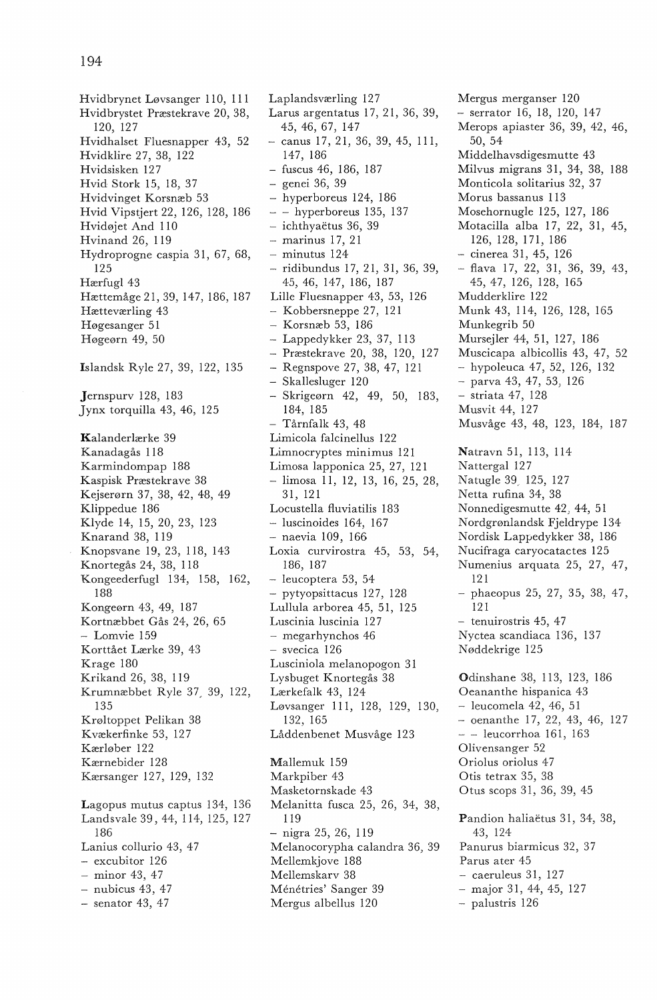Hvidbrynet Løvsanger 110, 111 Hvidbrystet Præstekrave 20, 38, 120, 127 Hvidhalset Fluesnapper 43, 52 Hvidklire 27, 38, 122 Hvidsisken 127 Hvid Stork 15, 18, 37 Hvidvinget Korsnæb 53 Hvid Vipstjert 22, 126, 128, 186 Hvidøjet And 110 Hvinand 26, 119 Hydroprogne caspia 31, 67, 68, 125 Hærfugl 43 Hættemåge 21, 39, 147, 186, 187 Hætteværling 43 Høgesanger 51 Høgeørn 49, 50 Islandsk Ryle 27, 39, 122, 135 Jernspurv 128, 183 Jynx torquilla 43, 46, 125 Kalanderlærke 39 Kanadagås 118 Karmindompap 188 Kaspisk Præstekrave 38 Kejserørn 37, 38, 42, 48, 49 Klippedue 186 Klyde 14, 15, 20, 23, 123 Knarand 38, 119 Knopsvane 19, 23, 118, 143 Knortegås 24, 38, 118 Kongeederfugl 134, 158, 162, 188 Kongeørn 43, 49, 187 Kortnæbbet Gås 24, 26, 65 - Lomvie 159 Korttået Lærke 39, 43 Krage 180 Krikand 26, 38, 119 Krumnæbbet Ryle 37, 39, 122, 135 Krøltoppet Pelikan 38 Kvækerfinke 53, 127 Kærløber 122 Kærnebider 128 Kærsanger 127, 129, 132 Lagopus mutus captus 134, 136 Landsvale 39, 44, 114, 125, 127 186 Lanius collurio 43, 47 - excubitor 126 - minor 43, 47  $-$  nubicus 43, 47

 $-$  senator 43, 47

Laplandsværling 127 Larus argentatus 17, 21, 36, 39, 45, 46, 67, 147 canus 17, 21, 36, 39, 45, 111, 147, 186 - fuscus 46, 186, 187 - genei 36, 39 - hyperboreus 124, 186 - - hyperboreus 135, 137 - ichthyaetus 36, 39 - marinus 17, 21 - minutus 124 - ridibundus 17, 21, 31, 36, 39, 45, 46, 147, 186, 187 Lille Fluesnapper 43, 53, 126 - Kobbersneppe 27, 121 - Korsnæb 53, 186 Lappedykker 23, 37, 113 - Præstekrave 20, 38, 120, 127 - Regnspove 27, 38, 47, 121 - Skallesluger 120 - Skrigeørn 42, 49, 50, 183, 184, 185 - Tårnfalk 43, 48 Limicola falcinellus 122 Limnocryptes minimus 121 Limosa lapponica 25, 27, 121 - limosa 11, 12, 13, 16, 25, 28, 31, 121 Locustella fluviatilis 183 - luscinoides 164, 167 - naevia 109, 166 Loxia curvirostra 45, 53, 54, 186, 187 - leucoptera 53, 54 - pytyopsittacus 127, 128 Lullula arborea 45, 51, 125 Luscinia luscinia 127 - megarhynchos 46 - svecica 126 Lusciniola melanopogon 31 Lysbuget Knortegås 38 Lærkefalk 43, 124 Løvsanger 111, 128, 129, 130, 132, 165 Låddenbenet Musvåge 123 Mallemuk 159 Markpiber 43 Masketornskade 43 Melanitta fusca 25, 26, 34, 38, 119 - nigra 25, 26, 119 Melanocorypha calandra 36, 39 Mellemkjove 188 Mellemskarv 38 Ménétries' Sanger 39 Mergus albellus 120

Mergus merganser 120 - serrator 16, 18, 120, 147 Merops apiaster 36, 39, 42, 46, 50, 54 Middelhavsdigesmutte 43 Milvus migrans 31, 34, 38, 188 Monticola solitarius 32, 37 Morus bassanus 113 Mosehornugle 125, 127, 186 Motacilla alba 17, 22, 31, 45, 126, 128, 171, 186 - cinerea 31, 45, 126 - flava 17, 22, 31, 36, 39, 43, 45, 47, 126, 128, 165 Mudderklire 122 Munk 43, 114, 126, 128, 165 Munkegrib 50 Mursejler 44, 51, 127, 186 Muscicapa albicollis 43, 47, 52 - hypoleuca 47, 52, 126, 132 - parva 43, 47, 53, 126 - striata 47, 128 Musvit 44, 127 Musvåge 43, 48, 123, 184, 187 Natravn 51, 113, 114 Nattergal 127 Natugle 39. 125, 127 Netta rufina 34, 38 Nonnedigesmutte 42, 44, 51 Nordgrønlandsk Fjeldrype 134 Nordisk Lappedykker 38, 186 Nucifraga caryocatactes 125 Numenius arquata 25, 27, 47, 121 - phaeopus 25, 27, 35, 38, 47, 121 - tenuirostris 45, 47 Nyctea scandiaca 136, 137 Nøddekrige 125 Odinshane 38, 113, 123, 186 Oeananthe hispanica 43 - Ieucomela 42, 46, 51  $-$  oenanthe 17, 22, 43, 46, 127 - - leucorrhoa 161, 163 Olivensanger 52 Oriolus oriolus 47 Otis tetrax 35, 38 Otus scops 31, 36, 39, 45 Pandion haliaëtus 31, 34, 38, 43, 124 Panurus biarmicus 32, 37 Parus ater 45 - caeruleus 31, 127 - major 31, 44, 45, 127 - palustris 126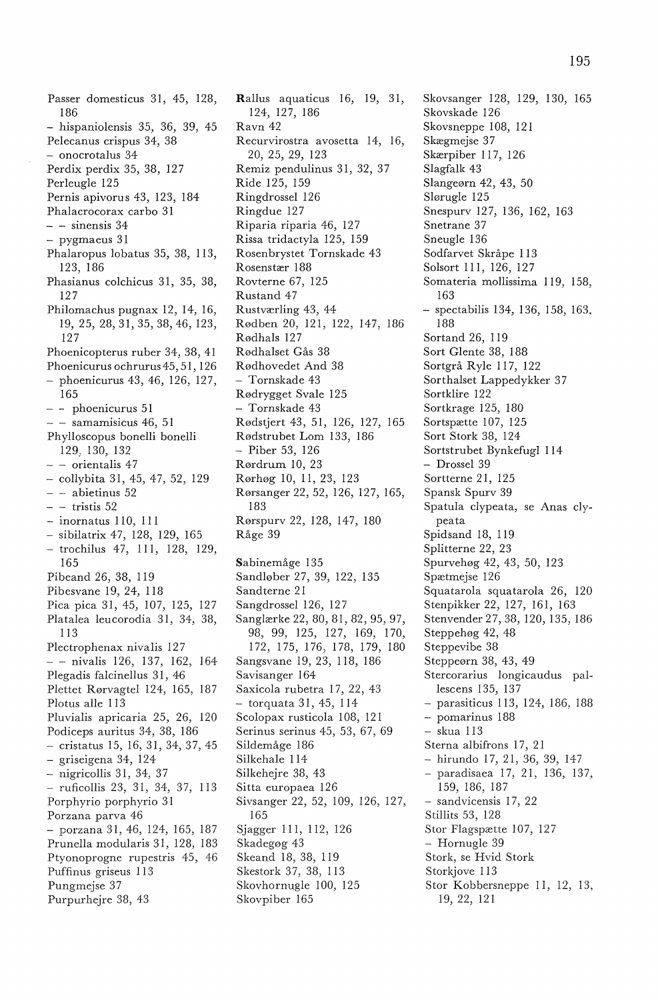Passer domesticus 31, 45, 128, 186 - hispaniolensis 35, 36, 39, 45 Pelecanus crispus 34, 38 - onocrotalus 34 Perdix perdix 35, 38, 127 Perleugle 125 Pernis apivorus 43, 123, 184 Phalacrocorax carbo 31  $-$  - sinensis 34 - pygmaeus 31 Phalaropus lobatus 35, 38, 113, 123, 186 Phasianus colchicus 31, 35, 38, 127 Philomachus pugnax 12, 14, 16, 19, 25, 28, 31, 35, 38, 46, 123, 127 Phoenicopterus ruber 34, 38, 41 Phoenicurus ochrurus 45, 51, 126 phoenicurus 43, 46, 126, 127, 165 - - phoenicurus 51  $-$  - samamisicus 46, 51 Phylloscopus bonelli bonelli 129, 130, 132 - - orientalis 47 - collybita 31, 45, 47, 52, 129 - abietinus 52  $-$  - tristis 52  $-$  inornatus 110, 111 - sibilatrix 47, 128, 129, 165 - trochilus 47, 111, 128, 129, 165 Pibeand 26, 38, 119 Pibesvane 19, 24, 118 Pica pica 31, 45, 107, 125, 127 Platalea leucorodia 31, 34, 38, 113 Plectrophenax nivalis 127 - - nivalis 126, 137, 162, 164 Plegadis falcinellus 31, 46 Plettet Rørvagtel 124, 165, 187 Plotus alle 113 Pluvialis apricaria 25, 26, 120 Podiceps auritus 34, 38, 186 - cristatus 15, 16, 31, 34, 37, 45 - griseigena 34, 124 - nigricollis 31, 34, 37 - ruficollis 23, 31, 34, 37, 113 Porphyrio porphyrio 31 Porzana parva 46 - porzana 31, 46, 124, 165, 187 Prunella modularis 31, 128, 183 Ptyonoprogne rupestris 45, 46 Puffinus griseus 113 Pungmejse 37 Purpurhejre 38, 43

Rallus aquaticus 16, 19, 31, 124, 127, 186 Ravn 42 Recurvirostra avosetta 14, 16, 20, 25, 29, 123 Remiz pendulinus 31, 32, 37 Ride 125, 159 Ringdrossel 126 Ringdue 127 Riparia riparia 46, 127 Rissa tridactyla 125, 159 Rosenbrystet Tornskade 43 Rosenstær 188 Rovterne 67, 125 Rustand 47 Rustværling 43, 44 Rødben 20, 121, 122, 147, 186 Rødhals 127 Rødhalset Gås 38 Rødhovedet And 38 - Tornskade 43 Rødrygget Svale 125 - Tornskade 43 Rødstjert 43, 51, 126, 127, 165 Rødstrubet Lom 133, 186 - Piber 53, 126 Rørdrum 10, 23 Rørhøg 10, 11, 23, 123 Rørsanger 22, 52, 126, 127, 165, 183 Rørspurv 22, 128, 147, 180 Råge 39 Sabinemåge 135 Sandløber 27, 39, 122, 135 Sandterne 21 Sangdrossel 126, 127 Sanglærke 22, 80, 81, 82, 95, 97, 98, 99, 125, 127, 169, 170, 172, 175, 176, 178, 179, 180 Sangsvane 19, 23, 118, 186 Savisanger 164 Saxicola rubetra 17, 22, 43 - torquata 31, 45, 114 Scolopax rusticola 108, 121 Serinus serinus 45, 53, 67, 69 Sildemåge 186 Silkehale 114 Silkehejre 38, 43 Sitta europaea 126 Sivsanger 22, 52, 109, 126, 127, 165 Sjagger 111, 112, 126 Skadegøg 43 Skeand 18, 38, 119 Skestork 37, 38, 113 Skovhornugle 100, 125 Skovpiber 165

Skovsanger 128, 129, 130, 165 Skovskade 126 Skovsneppe 108, 121 Skægmejse 37 Skærpiber 117, 126 Slagfalk 43 Slangeørn 42, 43, 50 Slørugle 125 Snespurv 127, 136, 162, 163 Snetrane 37 Sneugle 136 Sodfarvet Skråpe 113 Solsort 111, 126, 127 Somateria mollissima 119, 158, 163 - spectabilis 134, 136, 158, 163, 188 Sortand 26, 119 Sort Glente 38, 188 Sortgrå Ryle 117, 122 Sorthalset Lappedykker 37 Sortklire 122 Sortkrage 125, 180 Sortspætte 107, 125 Sort Stork 38, 124 Sortstrubet Bynkefugl 114 - Drossel 39 Sortterne 21, 125 Spansk Spurv 39 Spatula clypeata, se Anas clypeata Spidsand 18, 119 Splitterne 22, 23 Spurvehøg 42, 43, 50, 123 Spætmejse 126 Squatarola squatarola 26, 120 Stenpikker 22, 127, 161, 163 Stenvender 27, 38, 120, 135, 186 Steppehøg 42, 48 Steppevibe 38 Steppeørn 38, 43, 49 Stercorarius longicaudus pallescens 135, 137 - parasiticus 113, 124, 186, 188 - pomarinus 188 - skua 113 Sterna albifrons 17, 21 hirundo 17, 21, 36, 39, 147 - paradisaea 17, 21, 136, 137, 159, 186, 187 - sandvicensis 17, 22 Stillits 53, 128 Stor Flagspætte 107, 127 - Hornugle 39 Stork, se Hvid Stork Storkjove 113 Stor Kobbersneppe 11, 12, 13, 19, 22, 121